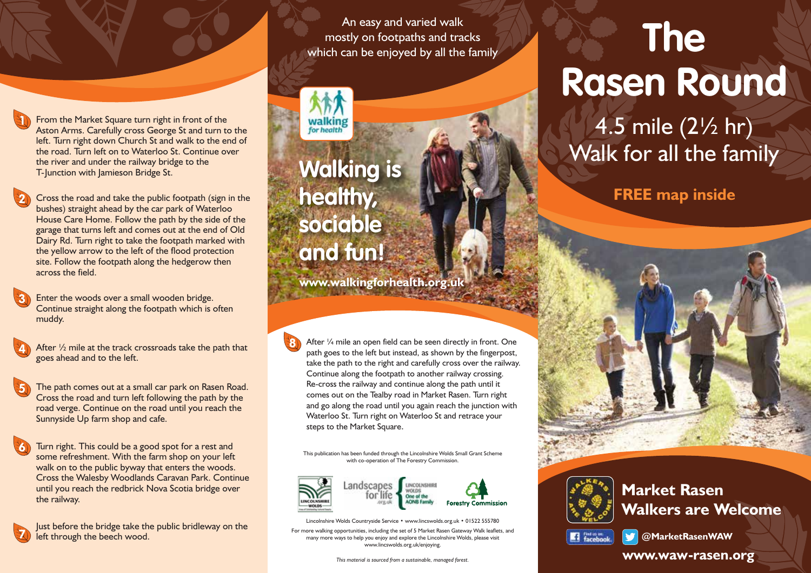From the Market Square turn right in front of the Aston Arms. Carefully cross George St and turn to the left. Turn right down Church St and walk to the end of the road. Turn left on to Waterloo St. Continue over the river and under the railway bridge to the the river and under the railway bridge to the<br>
T-Junction with Jamieson Bridge St.<br> **Walking is** 

Cross the road and take the public footpath (sign in the bushes) straight ahead by the car park of Waterloo House Care Home. Follow the path by the side of the garage that turns left and comes out at the end of Old Dairy Rd. Turn right to take the footpath marked with the yellow arrow to the left of the flood protection site. Follow the footpath along the hedgerow then across the field. **2**

Enter the woods over a small wooden bridge. Continue straight along the footpath which is often muddy. **3**

- After  $\frac{1}{2}$  mile at the track crossroads take the path that goes ahead and to the left. **4**
- The path comes out at a small car park on Rasen Road. Cross the road and turn left following the path by the road verge. Continue on the road until you reach the Sunnyside Up farm shop and cafe. **5**
- Turn right. This could be a good spot for a rest and some refreshment. With the farm shop on your left walk on to the public byway that enters the woods. Cross the Walesby Woodlands Caravan Park. Continue until you reach the redbrick Nova Scotia bridge over the railway. **6**



**1**

Just before the bridge take the public bridleway on the **<sup>7</sup>** left through the beech wood.

An easy and varied walk mostly on footpaths and tracks which can be enjoyed by all the family

**healthy, sociable and fun!**

**8**

**www.walkingforhealth.org.uk**

After 1/4 mile an open field can be seen directly in front. One path goes to the left but instead, as shown by the fingerpost, take the path to the right and carefully cross over the railway. Continue along the footpath to another railway crossing. Re-cross the railway and continue along the path until it comes out on the Tealby road in Market Rasen. Turn right and go along the road until you again reach the junction with Waterloo St. Turn right on Waterloo St and retrace your steps to the Market Square.

This publication has been funded through the Lincolnshire Wolds Small Grant Scheme with co-operation of The Forestry Commission.



Lincolnshire Wolds Countryside Service • www.lincswolds.org.uk • 01522 555780

For more walking opportunities, including the set of 5 Market Rasen Gateway Walk leaflets, and many more ways to help you enjoy and explore the Lincolnshire Wolds, please visit www.lincswolds.org.uk/enjoying.

## **The Rasen Round**

4.5 mile (2½ hr) Walk for all the family

**FREE map inside**



**Market Rasen Walkers are Welcome**



**@MarketRasenWAW**

## *This material is sourced from a sustainable, managed forest.* **www.waw-rasen.org**